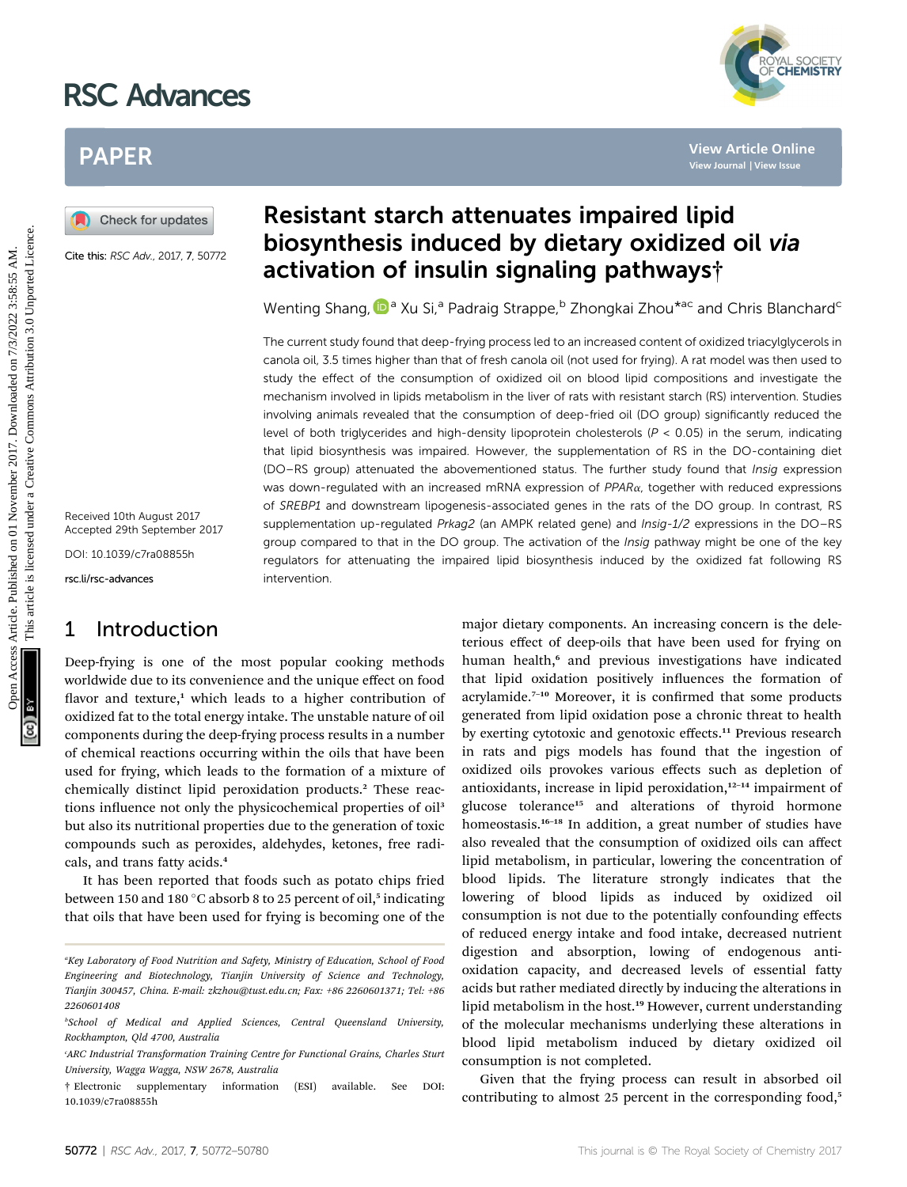# RSC Advances



# PAPER

Cite this: RSC Adv., 2017, 7, 50772

Received 10th August 2017 Accepted 29th September 2017

DOI: 10.1039/c7ra08855h

rsc.li/rsc-advances

## 1 Introduction

# Resistant starch attenuates impaired lipid biosynthesis induced by dietary oxidized oil via activation of insulin signaling pathways†

Wenting Shang[,](http://orcid.org/0000-0002-1595-0039)  $\mathbf{D}^{\mathsf{a}}$  Xu Si,<sup>a</sup> Padraig Strappe, <sup>b</sup> Zhongkai Zhou<sup>\*ac</sup> and Chris Blanchard<sup>c</sup>

The current study found that deep-frying process led to an increased content of oxidized triacylglycerols in canola oil, 3.5 times higher than that of fresh canola oil (not used for frying). A rat model was then used to study the effect of the consumption of oxidized oil on blood lipid compositions and investigate the mechanism involved in lipids metabolism in the liver of rats with resistant starch (RS) intervention. Studies involving animals revealed that the consumption of deep-fried oil (DO group) significantly reduced the level of both triglycerides and high-density lipoprotein cholesterols ( $P < 0.05$ ) in the serum, indicating that lipid biosynthesis was impaired. However, the supplementation of RS in the DO-containing diet (DO–RS group) attenuated the abovementioned status. The further study found that Insig expression was down-regulated with an increased mRNA expression of PPARa, together with reduced expressions of SREBP1 and downstream lipogenesis-associated genes in the rats of the DO group. In contrast, RS supplementation up-regulated Prkag2 (an AMPK related gene) and Insig-1/2 expressions in the DO–RS group compared to that in the DO group. The activation of the *Insig* pathway might be one of the key regulators for attenuating the impaired lipid biosynthesis induced by the oxidized fat following RS intervention. PAPER<br> **(A)** Cheek for updates<br> **EXERCADE AND AND STAND STAND IS CONSULTER SURFACE CONDUCT CONDUCT CONDUCT CONDUCT CONDUCT CONDUCT CONDUCT CONDUCT CONDUCT CONDUCT CONDUCT CONDUCT CONDUCT CONDUCT CONDUCT CONDUCT CONDUCT CO** 

Deep-frying is one of the most popular cooking methods worldwide due to its convenience and the unique effect on food flavor and texture, $1$  which leads to a higher contribution of oxidized fat to the total energy intake. The unstable nature of oil components during the deep-frying process results in a number of chemical reactions occurring within the oils that have been used for frying, which leads to the formation of a mixture of chemically distinct lipid peroxidation products.<sup>2</sup> These reactions influence not only the physicochemical properties of oil<sup>3</sup> but also its nutritional properties due to the generation of toxic compounds such as peroxides, aldehydes, ketones, free radicals, and trans fatty acids.<sup>4</sup>

It has been reported that foods such as potato chips fried between 150 and 180 °C absorb 8 to 25 percent of oil,<sup>5</sup> indicating that oils that have been used for frying is becoming one of the

major dietary components. An increasing concern is the deleterious effect of deep-oils that have been used for frying on human health,<sup>6</sup> and previous investigations have indicated that lipid oxidation positively influences the formation of acrylamide.<sup>7-10</sup> Moreover, it is confirmed that some products generated from lipid oxidation pose a chronic threat to health by exerting cytotoxic and genotoxic effects.<sup>11</sup> Previous research in rats and pigs models has found that the ingestion of oxidized oils provokes various effects such as depletion of antioxidants, increase in lipid peroxidation,<sup>12-14</sup> impairment of glucose tolerance<sup>15</sup> and alterations of thyroid hormone homeostasis.<sup>16–18</sup> In addition, a great number of studies have also revealed that the consumption of oxidized oils can affect lipid metabolism, in particular, lowering the concentration of blood lipids. The literature strongly indicates that the lowering of blood lipids as induced by oxidized oil consumption is not due to the potentially confounding effects of reduced energy intake and food intake, decreased nutrient digestion and absorption, lowing of endogenous antioxidation capacity, and decreased levels of essential fatty acids but rather mediated directly by inducing the alterations in lipid metabolism in the host.<sup>19</sup> However, current understanding of the molecular mechanisms underlying these alterations in blood lipid metabolism induced by dietary oxidized oil consumption is not completed.

Given that the frying process can result in absorbed oil contributing to almost 25 percent in the corresponding food,<sup>5</sup>

a Key Laboratory of Food Nutrition and Safety, Ministry of Education, School of Food Engineering and Biotechnology, Tianjin University of Science and Technology, Tianjin 300457, China. E-mail: zkzhou@tust.edu.cn; Fax: +86 2260601371; Tel: +86 2260601408

b School of Medical and Applied Sciences, Central Queensland University, Rockhampton, Qld 4700, Australia

c ARC Industrial Transformation Training Centre for Functional Grains, Charles Sturt University, Wagga Wagga, NSW 2678, Australia

<sup>†</sup> Electronic supplementary information (ESI) available. See DOI: 10.1039/c7ra08855h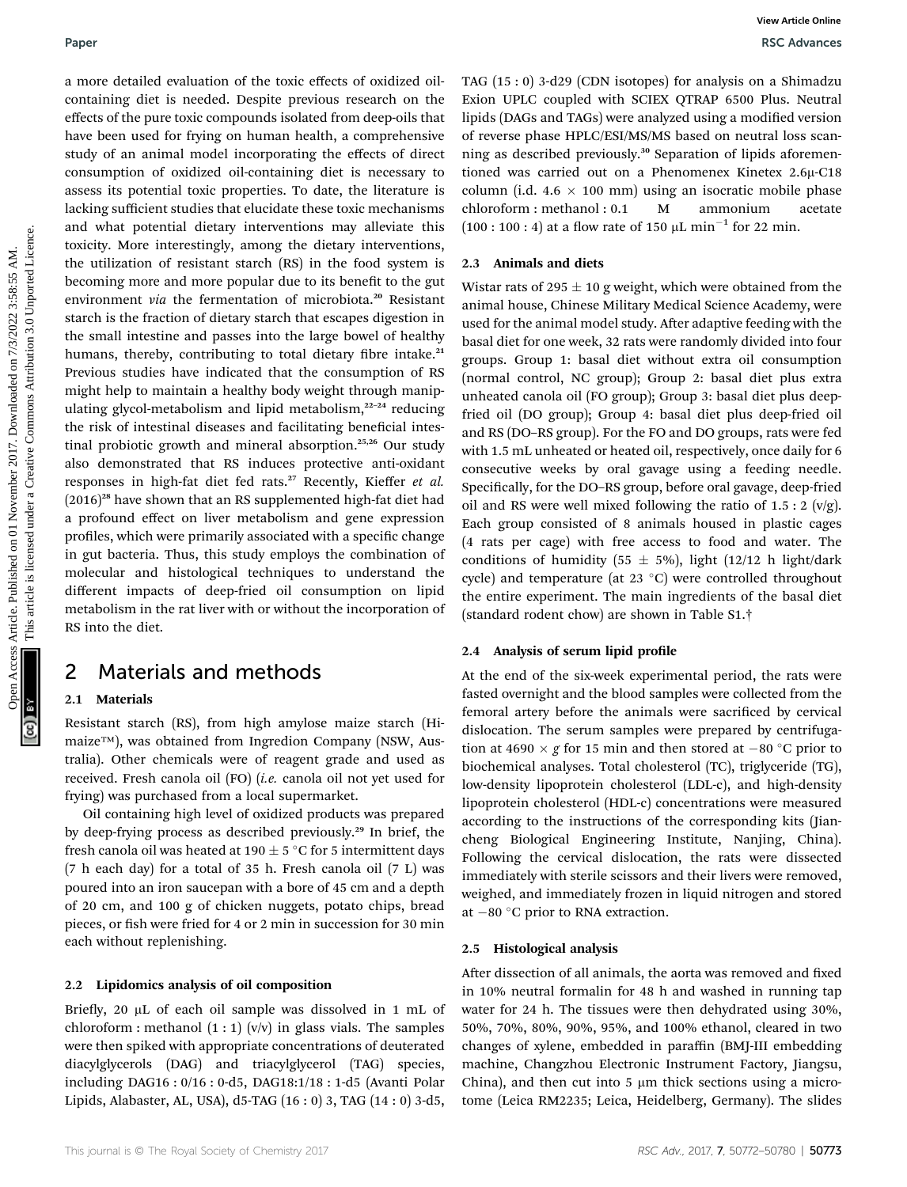a more detailed evaluation of the toxic effects of oxidized oilcontaining diet is needed. Despite previous research on the effects of the pure toxic compounds isolated from deep-oils that have been used for frying on human health, a comprehensive study of an animal model incorporating the effects of direct consumption of oxidized oil-containing diet is necessary to assess its potential toxic properties. To date, the literature is lacking sufficient studies that elucidate these toxic mechanisms and what potential dietary interventions may alleviate this toxicity. More interestingly, among the dietary interventions, the utilization of resistant starch (RS) in the food system is becoming more and more popular due to its benefit to the gut environment via the fermentation of microbiota.<sup>20</sup> Resistant starch is the fraction of dietary starch that escapes digestion in the small intestine and passes into the large bowel of healthy humans, thereby, contributing to total dietary fibre intake.<sup>21</sup> Previous studies have indicated that the consumption of RS might help to maintain a healthy body weight through manipulating glycol-metabolism and lipid metabolism, $22-24$  reducing the risk of intestinal diseases and facilitating beneficial intestinal probiotic growth and mineral absorption.25,26 Our study also demonstrated that RS induces protective anti-oxidant responses in high-fat diet fed rats.<sup>27</sup> Recently, Kieffer et al.  $(2016)^{28}$  have shown that an RS supplemented high-fat diet had a profound effect on liver metabolism and gene expression profiles, which were primarily associated with a specific change in gut bacteria. Thus, this study employs the combination of molecular and histological techniques to understand the different impacts of deep-fried oil consumption on lipid metabolism in the rat liver with or without the incorporation of RS into the diet. Paper<br>
Accele on detailed evaluation of the toxic effects of colation distribution computer and the computer proposition and the second the second the second on 2017. On 2018, the second of the second of the second of the

## 2 Materials and methods

### 2.1 Materials

Resistant starch (RS), from high amylose maize starch (Himaize™), was obtained from Ingredion Company (NSW, Australia). Other chemicals were of reagent grade and used as received. Fresh canola oil (FO) (i.e. canola oil not yet used for frying) was purchased from a local supermarket.

Oil containing high level of oxidized products was prepared by deep-frying process as described previously.<sup>29</sup> In brief, the fresh canola oil was heated at 190  $\pm$  5 °C for 5 intermittent days (7 h each day) for a total of 35 h. Fresh canola oil (7 L) was poured into an iron saucepan with a bore of 45 cm and a depth of 20 cm, and 100 g of chicken nuggets, potato chips, bread pieces, or fish were fried for 4 or 2 min in succession for 30 min each without replenishing.

### 2.2 Lipidomics analysis of oil composition

Briefly, 20  $\mu$ L of each oil sample was dissolved in 1 mL of chloroform : methanol  $(1:1)$  (v/v) in glass vials. The samples were then spiked with appropriate concentrations of deuterated diacylglycerols (DAG) and triacylglycerol (TAG) species, including DAG16 : 0/16 : 0-d5, DAG18:1/18 : 1-d5 (Avanti Polar Lipids, Alabaster, AL, USA), d5-TAG (16 : 0) 3, TAG (14 : 0) 3-d5,

TAG (15 : 0) 3-d29 (CDN isotopes) for analysis on a Shimadzu Exion UPLC coupled with SCIEX QTRAP 6500 Plus. Neutral lipids (DAGs and TAGs) were analyzed using a modified version of reverse phase HPLC/ESI/MS/MS based on neutral loss scanning as described previously.<sup>30</sup> Separation of lipids aforementioned was carried out on a Phenomenex Kinetex  $2.6\mu$ -C18 column (i.d.  $4.6 \times 100$  mm) using an isocratic mobile phase<br>chloroform : methanol :  $0.1$  M ammonium acetate chloroform : methanol : 0.1 M ammonium acetate  $(100 : 100 : 4)$  at a flow rate of 150 µL min<sup>-1</sup> for 22 min.

### 2.3 Animals and diets

Wistar rats of 295  $\pm$  10 g weight, which were obtained from the animal house, Chinese Military Medical Science Academy, were used for the animal model study. After adaptive feeding with the basal diet for one week, 32 rats were randomly divided into four groups. Group 1: basal diet without extra oil consumption (normal control, NC group); Group 2: basal diet plus extra unheated canola oil (FO group); Group 3: basal diet plus deepfried oil (DO group); Group 4: basal diet plus deep-fried oil and RS (DO–RS group). For the FO and DO groups, rats were fed with 1.5 mL unheated or heated oil, respectively, once daily for 6 consecutive weeks by oral gavage using a feeding needle. Specifically, for the DO-RS group, before oral gavage, deep-fried oil and RS were well mixed following the ratio of  $1.5:2$  (v/g). Each group consisted of 8 animals housed in plastic cages (4 rats per cage) with free access to food and water. The conditions of humidity (55  $\pm$  5%), light (12/12 h light/dark cycle) and temperature (at 23  $^{\circ}$ C) were controlled throughout the entire experiment. The main ingredients of the basal diet (standard rodent chow) are shown in Table S1.†

### 2.4 Analysis of serum lipid profile

At the end of the six-week experimental period, the rats were fasted overnight and the blood samples were collected from the femoral artery before the animals were sacrificed by cervical dislocation. The serum samples were prepared by centrifugation at 4690  $\times$  g for 15 min and then stored at  $-80$  °C prior to biochemical analyses. Total cholesterol (TC), triglyceride (TG), low-density lipoprotein cholesterol (LDL-c), and high-density lipoprotein cholesterol (HDL-c) concentrations were measured according to the instructions of the corresponding kits (Jiancheng Biological Engineering Institute, Nanjing, China). Following the cervical dislocation, the rats were dissected immediately with sterile scissors and their livers were removed, weighed, and immediately frozen in liquid nitrogen and stored at  $-80$  °C prior to RNA extraction.

### 2.5 Histological analysis

After dissection of all animals, the aorta was removed and fixed in 10% neutral formalin for 48 h and washed in running tap water for 24 h. The tissues were then dehydrated using 30%, 50%, 70%, 80%, 90%, 95%, and 100% ethanol, cleared in two changes of xylene, embedded in paraffin (BMJ-III embedding machine, Changzhou Electronic Instrument Factory, Jiangsu, China), and then cut into  $5 \mu m$  thick sections using a microtome (Leica RM2235; Leica, Heidelberg, Germany). The slides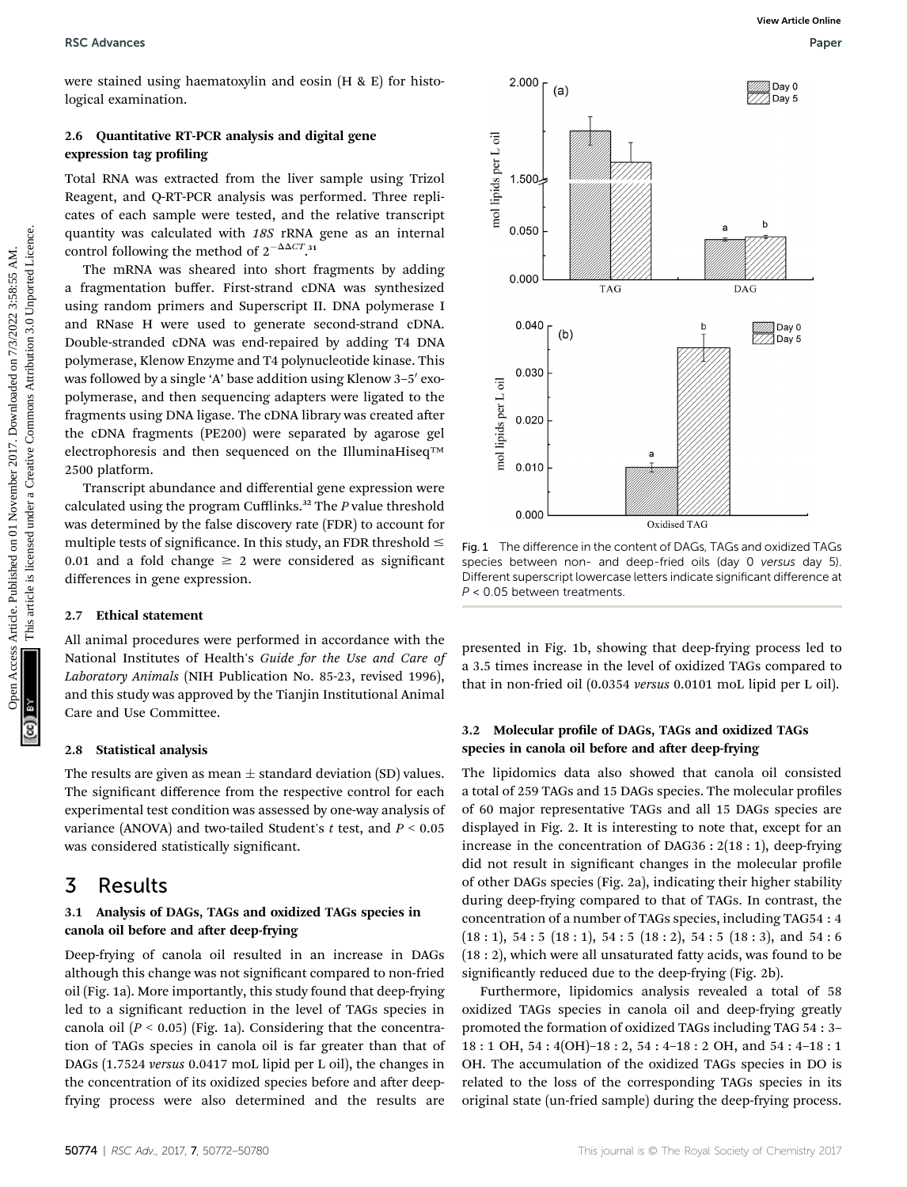were stained using haematoxylin and eosin (H & E) for histological examination.

### 2.6 Quantitative RT-PCR analysis and digital gene expression tag profiling

Total RNA was extracted from the liver sample using Trizol Reagent, and Q-RT-PCR analysis was performed. Three replicates of each sample were tested, and the relative transcript quantity was calculated with 18S rRNA gene as an internal control following the method of  $2^{-\Delta\Delta CT}$ .<sup>31</sup>

The mRNA was sheared into short fragments by adding a fragmentation buffer. First-strand cDNA was synthesized using random primers and Superscript II. DNA polymerase I and RNase H were used to generate second-strand cDNA. Double-stranded cDNA was end-repaired by adding T4 DNA polymerase, Klenow Enzyme and T4 polynucleotide kinase. This was followed by a single 'A' base addition using Klenow 3-5' exopolymerase, and then sequencing adapters were ligated to the fragments using DNA ligase. The cDNA library was created after the cDNA fragments (PE200) were separated by agarose gel electrophoresis and then sequenced on the IlluminaHiseq™ 2500 platform.

Transcript abundance and differential gene expression were calculated using the program Cufflinks.<sup>32</sup> The  $P$  value threshold was determined by the false discovery rate (FDR) to account for multiple tests of significance. In this study, an FDR threshold  $\leq$ 0.01 and a fold change  $\geq 2$  were considered as significant differences in gene expression.

### 2.7 Ethical statement

All animal procedures were performed in accordance with the National Institutes of Health's Guide for the Use and Care of Laboratory Animals (NIH Publication No. 85-23, revised 1996), and this study was approved by the Tianjin Institutional Animal Care and Use Committee.

### 2.8 Statistical analysis

The results are given as mean  $\pm$  standard deviation (SD) values. The significant difference from the respective control for each experimental test condition was assessed by one-way analysis of variance (ANOVA) and two-tailed Student's  $t$  test, and  $P < 0.05$ was considered statistically significant.

### 3 Results

### 3.1 Analysis of DAGs, TAGs and oxidized TAGs species in canola oil before and after deep-frying

Deep-frying of canola oil resulted in an increase in DAGs although this change was not significant compared to non-fried oil (Fig. 1a). More importantly, this study found that deep-frying led to a signicant reduction in the level of TAGs species in canola oil  $(P < 0.05)$  (Fig. 1a). Considering that the concentration of TAGs species in canola oil is far greater than that of DAGs (1.7524 versus 0.0417 moL lipid per L oil), the changes in the concentration of its oxidized species before and after deepfrying process were also determined and the results are



Fig. 1 The difference in the content of DAGs, TAGs and oxidized TAGs species between non- and deep-fried oils (day 0 versus day 5). Different superscript lowercase letters indicate significant difference at  $P < 0.05$  between treatments.

presented in Fig. 1b, showing that deep-frying process led to a 3.5 times increase in the level of oxidized TAGs compared to that in non-fried oil (0.0354 versus 0.0101 moL lipid per L oil).

### 3.2 Molecular profile of DAGs, TAGs and oxidized TAGs species in canola oil before and after deep-frying

The lipidomics data also showed that canola oil consisted a total of 259 TAGs and 15 DAGs species. The molecular profiles of 60 major representative TAGs and all 15 DAGs species are displayed in Fig. 2. It is interesting to note that, except for an increase in the concentration of DAG36 : 2(18 : 1), deep-frying did not result in significant changes in the molecular profile of other DAGs species (Fig. 2a), indicating their higher stability during deep-frying compared to that of TAGs. In contrast, the concentration of a number of TAGs species, including TAG54 : 4  $(18:1)$ , 54 : 5  $(18:1)$ , 54 : 5  $(18:2)$ , 54 : 5  $(18:3)$ , and 54 : 6 (18 : 2), which were all unsaturated fatty acids, was found to be significantly reduced due to the deep-frying (Fig. 2b).

Furthermore, lipidomics analysis revealed a total of 58 oxidized TAGs species in canola oil and deep-frying greatly promoted the formation of oxidized TAGs including TAG 54 : 3– 18 : 1 OH, 54 : 4(OH)–18 : 2, 54 : 4–18 : 2 OH, and 54 : 4–18 : 1 OH. The accumulation of the oxidized TAGs species in DO is related to the loss of the corresponding TAGs species in its original state (un-fried sample) during the deep-frying process.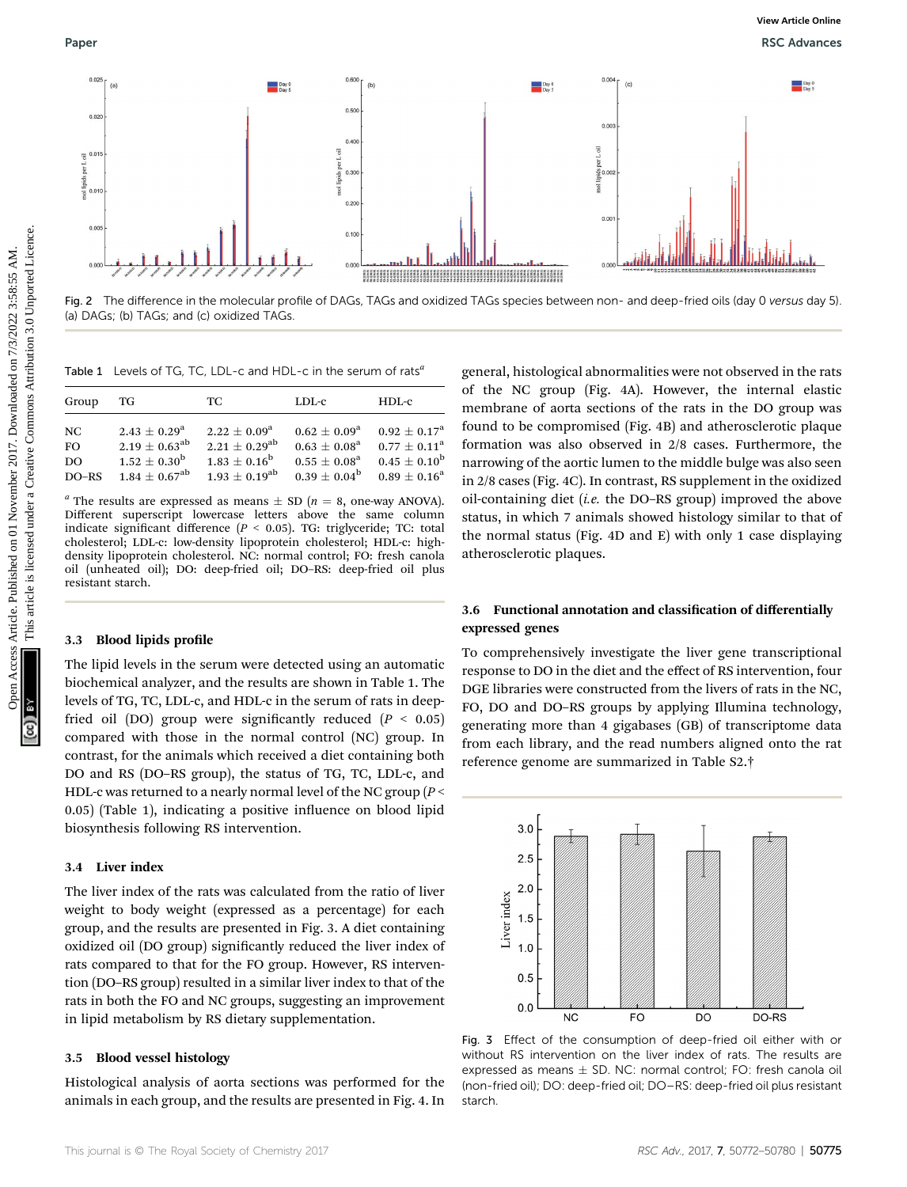

Fig. 2 The difference in the molecular profile of DAGs, TAGs and oxidized TAGs species between non- and deep-fried oils (day 0 versus day 5). (a) DAGs; (b) TAGs; and (c) oxidized TAGs.

Table 1 Levels of TG, TC, LDL-c and HDL-c in the serum of rats<sup>4</sup>

| Group     | TG                          | TC.                   | $LDL-c$                 | $HDL-c$               |
|-----------|-----------------------------|-----------------------|-------------------------|-----------------------|
| NC        | $2.43 + 0.29^a$             | $2.22 + 0.09^a$       | $0.62 + 0.09^a$         | $0.92 + 0.17^a$       |
| <b>FO</b> | $2.19 \pm 0.63^{\rm ab}$    | $2.21 + 0.29^{ab}$    | $0.63 \pm 0.08^{\rm a}$ | $0.77 + 0.11^a$       |
| DO.       | $1.52 + 0.30^{\rm b}$       | $1.83 + 0.16^{\rm b}$ | $0.55 + 0.08^a$         | $0.45 + 0.10^{\rm b}$ |
| $DO-RS$   | $1.84 + 0.67$ <sup>ab</sup> | $1.93 + 0.19^{ab}$    | $0.39 + 0.04^{\rm b}$   | $0.89 + 0.16^a$       |

<sup>*a*</sup> The results are expressed as means  $\pm$  SD (*n* = 8, one-way ANOVA). Different superscript lowercase letters above the same column indicate significant difference ( $P < 0.05$ ). TG: triglyceride; TC: total cholesterol; LDL-c: low-density lipoprotein cholesterol; HDL-c: highdensity lipoprotein cholesterol. NC: normal control; FO: fresh canola oil (unheated oil); DO: deep-fried oil; DO–RS: deep-fried oil plus resistant starch.

### 3.3 Blood lipids profile

The lipid levels in the serum were detected using an automatic biochemical analyzer, and the results are shown in Table 1. The levels of TG, TC, LDL-c, and HDL-c in the serum of rats in deepfried oil (DO) group were significantly reduced ( $P < 0.05$ ) compared with those in the normal control (NC) group. In contrast, for the animals which received a diet containing both DO and RS (DO–RS group), the status of TG, TC, LDL-c, and HDL-c was returned to a nearly normal level of the NC group ( $P$  <  $(0.05)$  (Table 1), indicating a positive influence on blood lipid biosynthesis following RS intervention.

### 3.4 Liver index

The liver index of the rats was calculated from the ratio of liver weight to body weight (expressed as a percentage) for each group, and the results are presented in Fig. 3. A diet containing oxidized oil (DO group) significantly reduced the liver index of rats compared to that for the FO group. However, RS intervention (DO–RS group) resulted in a similar liver index to that of the rats in both the FO and NC groups, suggesting an improvement in lipid metabolism by RS dietary supplementation.

### 3.5 Blood vessel histology

Histological analysis of aorta sections was performed for the animals in each group, and the results are presented in Fig. 4. In

general, histological abnormalities were not observed in the rats of the NC group (Fig. 4A). However, the internal elastic membrane of aorta sections of the rats in the DO group was found to be compromised (Fig. 4B) and atherosclerotic plaque formation was also observed in 2/8 cases. Furthermore, the narrowing of the aortic lumen to the middle bulge was also seen in 2/8 cases (Fig. 4C). In contrast, RS supplement in the oxidized oil-containing diet (i.e. the DO–RS group) improved the above status, in which 7 animals showed histology similar to that of the normal status (Fig. 4D and E) with only 1 case displaying atherosclerotic plaques.

### 3.6 Functional annotation and classification of differentially expressed genes

To comprehensively investigate the liver gene transcriptional response to DO in the diet and the effect of RS intervention, four DGE libraries were constructed from the livers of rats in the NC, FO, DO and DO–RS groups by applying Illumina technology, generating more than 4 gigabases (GB) of transcriptome data from each library, and the read numbers aligned onto the rat reference genome are summarized in Table S2.†



Fig. 3 Effect of the consumption of deep-fried oil either with or without RS intervention on the liver index of rats. The results are expressed as means  $\pm$  SD. NC: normal control; FO: fresh canola oil (non-fried oil); DO: deep-fried oil; DO–RS: deep-fried oil plus resistant starch.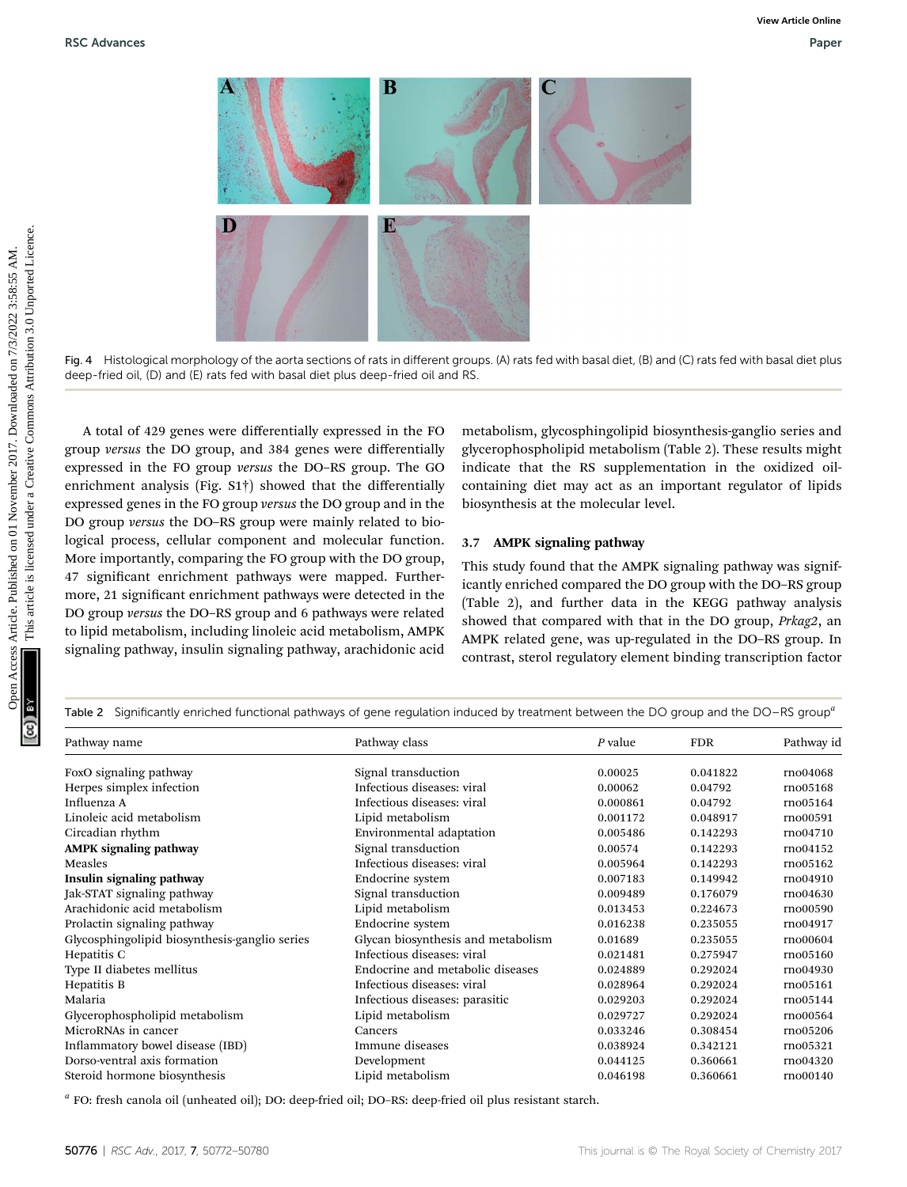

Fig. 4 Histological morphology of the aorta sections of rats in different groups. (A) rats fed with basal diet, (B) and (C) rats fed with basal diet plus deep-fried oil, (D) and (E) rats fed with basal diet plus deep-fried oil and RS.

A total of 429 genes were differentially expressed in the FO group versus the DO group, and 384 genes were differentially expressed in the FO group versus the DO–RS group. The GO enrichment analysis (Fig. S1†) showed that the differentially expressed genes in the FO group versus the DO group and in the DO group versus the DO–RS group were mainly related to biological process, cellular component and molecular function. More importantly, comparing the FO group with the DO group, 47 significant enrichment pathways were mapped. Furthermore, 21 significant enrichment pathways were detected in the DO group versus the DO–RS group and 6 pathways were related to lipid metabolism, including linoleic acid metabolism, AMPK signaling pathway, insulin signaling pathway, arachidonic acid metabolism, glycosphingolipid biosynthesis-ganglio series and glycerophospholipid metabolism (Table 2). These results might indicate that the RS supplementation in the oxidized oilcontaining diet may act as an important regulator of lipids biosynthesis at the molecular level.

### 3.7 AMPK signaling pathway

This study found that the AMPK signaling pathway was significantly enriched compared the DO group with the DO–RS group (Table 2), and further data in the KEGG pathway analysis showed that compared with that in the DO group, Prkag2, an AMPK related gene, was up-regulated in the DO–RS group. In contrast, sterol regulatory element binding transcription factor

| Table 2 Significantly enriched functional pathways of gene regulation induced by treatment between the DO group and the DO–RS group <sup>a</sup> |                                    |          |            |            |  |  |  |
|--------------------------------------------------------------------------------------------------------------------------------------------------|------------------------------------|----------|------------|------------|--|--|--|
| Pathway name                                                                                                                                     | Pathway class                      | P value  | <b>FDR</b> | Pathway id |  |  |  |
| FoxO signaling pathway                                                                                                                           | Signal transduction                | 0.00025  | 0.041822   | rno04068   |  |  |  |
| Herpes simplex infection                                                                                                                         | Infectious diseases: viral         | 0.00062  | 0.04792    | rno05168   |  |  |  |
| Influenza A                                                                                                                                      | Infectious diseases: viral         | 0.000861 | 0.04792    | rno05164   |  |  |  |
| Linoleic acid metabolism                                                                                                                         | Lipid metabolism                   | 0.001172 | 0.048917   | rno00591   |  |  |  |
| Circadian rhythm                                                                                                                                 | Environmental adaptation           | 0.005486 | 0.142293   | rno04710   |  |  |  |
| <b>AMPK</b> signaling pathway                                                                                                                    | Signal transduction                | 0.00574  | 0.142293   | rno04152   |  |  |  |
| Measles                                                                                                                                          | Infectious diseases: viral         | 0.005964 | 0.142293   | rno05162   |  |  |  |
| Insulin signaling pathway                                                                                                                        | Endocrine system                   | 0.007183 | 0.149942   | rno04910   |  |  |  |
| Jak-STAT signaling pathway                                                                                                                       | Signal transduction                | 0.009489 | 0.176079   | rno04630   |  |  |  |
| Arachidonic acid metabolism                                                                                                                      | Lipid metabolism                   | 0.013453 | 0.224673   | rno00590   |  |  |  |
| Prolactin signaling pathway                                                                                                                      | Endocrine system                   | 0.016238 | 0.235055   | rno04917   |  |  |  |
| Glycosphingolipid biosynthesis-ganglio series                                                                                                    | Glycan biosynthesis and metabolism | 0.01689  | 0.235055   | rno00604   |  |  |  |
| Hepatitis C                                                                                                                                      | Infectious diseases: viral         | 0.021481 | 0.275947   | rno05160   |  |  |  |
| Type II diabetes mellitus                                                                                                                        | Endocrine and metabolic diseases   | 0.024889 | 0.292024   | rno04930   |  |  |  |
| Hepatitis B                                                                                                                                      | Infectious diseases: viral         | 0.028964 | 0.292024   | rno05161   |  |  |  |
| Malaria                                                                                                                                          | Infectious diseases: parasitic     | 0.029203 | 0.292024   | rno05144   |  |  |  |
| Glycerophospholipid metabolism                                                                                                                   | Lipid metabolism                   | 0.029727 | 0.292024   | rno00564   |  |  |  |
| MicroRNAs in cancer                                                                                                                              | Cancers                            | 0.033246 | 0.308454   | rno05206   |  |  |  |
| Inflammatory bowel disease (IBD)                                                                                                                 | Immune diseases                    | 0.038924 | 0.342121   | rno05321   |  |  |  |
| Dorso-ventral axis formation                                                                                                                     | Development                        | 0.044125 | 0.360661   | rno04320   |  |  |  |
| Steroid hormone biosynthesis                                                                                                                     | Lipid metabolism                   | 0.046198 | 0.360661   | rno00140   |  |  |  |

 $a$  FO: fresh canola oil (unheated oil); DO: deep-fried oil; DO–RS: deep-fried oil plus resistant starch.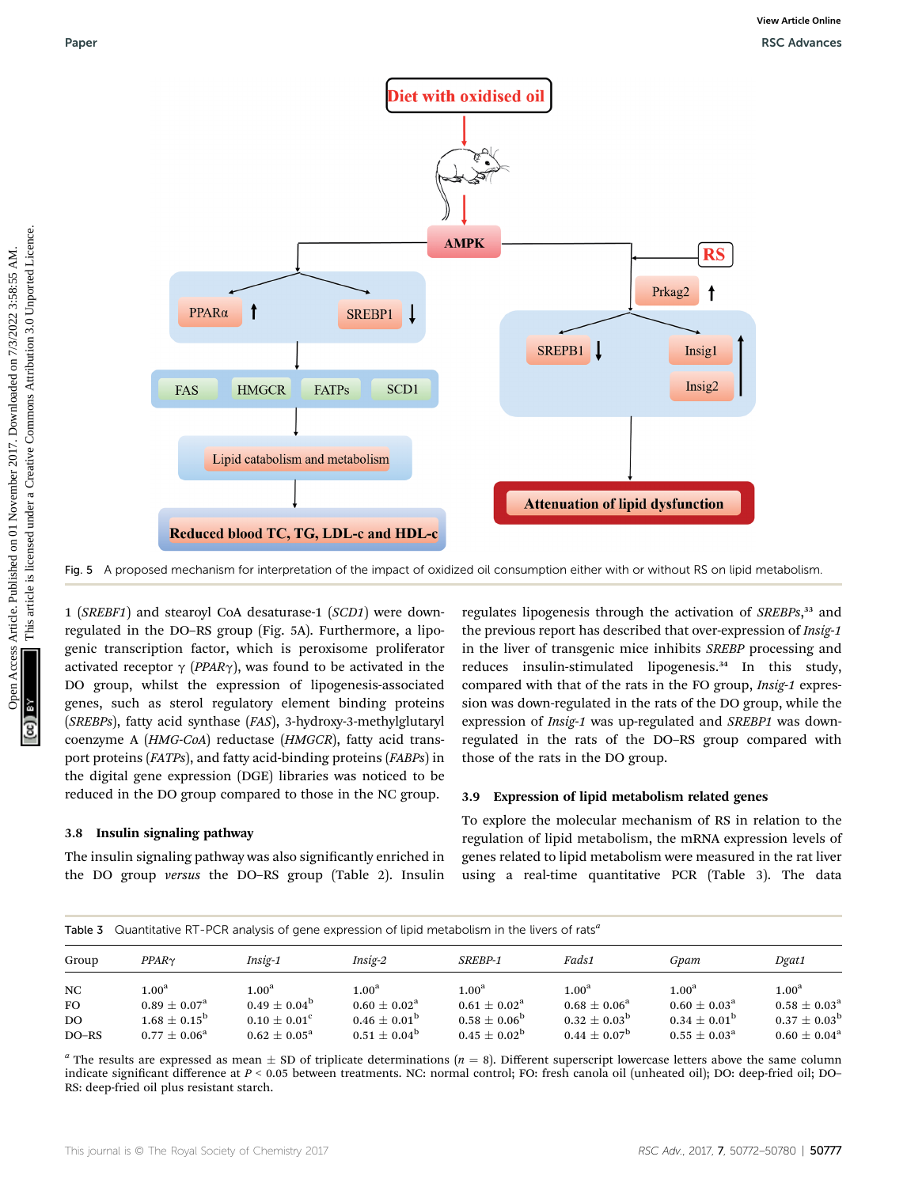

Fig. 5 A proposed mechanism for interpretation of the impact of oxidized oil consumption either with or without RS on lipid metabolism.

1 (SREBF1) and stearoyl CoA desaturase-1 (SCD1) were downregulated in the DO–RS group (Fig. 5A). Furthermore, a lipogenic transcription factor, which is peroxisome proliferator activated receptor  $\gamma$  (PPAR $\gamma$ ), was found to be activated in the DO group, whilst the expression of lipogenesis-associated genes, such as sterol regulatory element binding proteins (SREBPs), fatty acid synthase (FAS), 3-hydroxy-3-methylglutaryl coenzyme A (HMG-CoA) reductase (HMGCR), fatty acid transport proteins (FATPs), and fatty acid-binding proteins (FABPs) in the digital gene expression (DGE) libraries was noticed to be reduced in the DO group compared to those in the NC group.

### 3.8 Insulin signaling pathway

The insulin signaling pathway was also significantly enriched in the DO group versus the DO–RS group (Table 2). Insulin

regulates lipogenesis through the activation of SREBPs,<sup>33</sup> and the previous report has described that over-expression of Insig-1 in the liver of transgenic mice inhibits SREBP processing and reduces insulin-stimulated lipogenesis.<sup>34</sup> In this study, compared with that of the rats in the FO group, Insig-1 expression was down-regulated in the rats of the DO group, while the expression of Insig-1 was up-regulated and SREBP1 was downregulated in the rats of the DO–RS group compared with those of the rats in the DO group.

### 3.9 Expression of lipid metabolism related genes

To explore the molecular mechanism of RS in relation to the regulation of lipid metabolism, the mRNA expression levels of genes related to lipid metabolism were measured in the rat liver using a real-time quantitative PCR (Table 3). The data

### Table 3 Quantitative RT-PCR analysis of gene expression of lipid metabolism in the livers of rats<sup>a</sup>

| Group                      | $PPAR\gamma$                                                                                    | Insig-1                                                                                       | Insig-2                                                                                         | SREBP-1                                                                                               | Fads1                                                                                                 | Gpam                                                                                                  | Dgat1                                                                                           |  |
|----------------------------|-------------------------------------------------------------------------------------------------|-----------------------------------------------------------------------------------------------|-------------------------------------------------------------------------------------------------|-------------------------------------------------------------------------------------------------------|-------------------------------------------------------------------------------------------------------|-------------------------------------------------------------------------------------------------------|-------------------------------------------------------------------------------------------------|--|
| NC<br>FO.<br>DO<br>$DO-RS$ | $1.00^{\rm a}$<br>$0.89 \pm 0.07^{\rm a}$<br>$1.68 \pm 0.15^{\rm b}$<br>$0.77 \pm 0.06^{\rm a}$ | $1.00^{\rm a}$<br>$0.49 \pm 0.04^{\rm b}$<br>$0.10\pm0.01^{\rm c}$<br>$0.62 \pm 0.05^{\rm a}$ | $1.00^{\rm a}$<br>$0.60 \pm 0.02^{\rm a}$<br>$0.46 \pm 0.01^{\rm b}$<br>$0.51 \pm 0.04^{\rm b}$ | 1.00 <sup>a</sup><br>$0.61\pm0.02^{\mathrm{a}}$<br>$0.58 \pm 0.06^{\rm b}$<br>$0.45 \pm 0.02^{\rm b}$ | 1.00 <sup>a</sup><br>$0.68\pm0.06^{\mathrm{a}}$<br>$0.32 \pm 0.03^{\rm b}$<br>$0.44 \pm 0.07^{\rm b}$ | 1.00 <sup>a</sup><br>$0.60\pm0.03^{\mathrm{a}}$<br>$0.34 \pm 0.01^{\rm b}$<br>$0.55 \pm 0.03^{\rm a}$ | $1.00^{\rm a}$<br>$0.58 \pm 0.03^{\rm a}$<br>$0.37 \pm 0.03^{\rm b}$<br>$0.60 \pm 0.04^{\rm a}$ |  |

<sup>a</sup> The results are expressed as mean  $\pm$  SD of triplicate determinations ( $n = 8$ ). Different superscript lowercase letters above the same column indicate significant difference at P < 0.05 between treatments. NC: normal control; FO: fresh canola oil (unheated oil); DO: deep-fried oil; DO-RS: deep-fried oil plus resistant starch.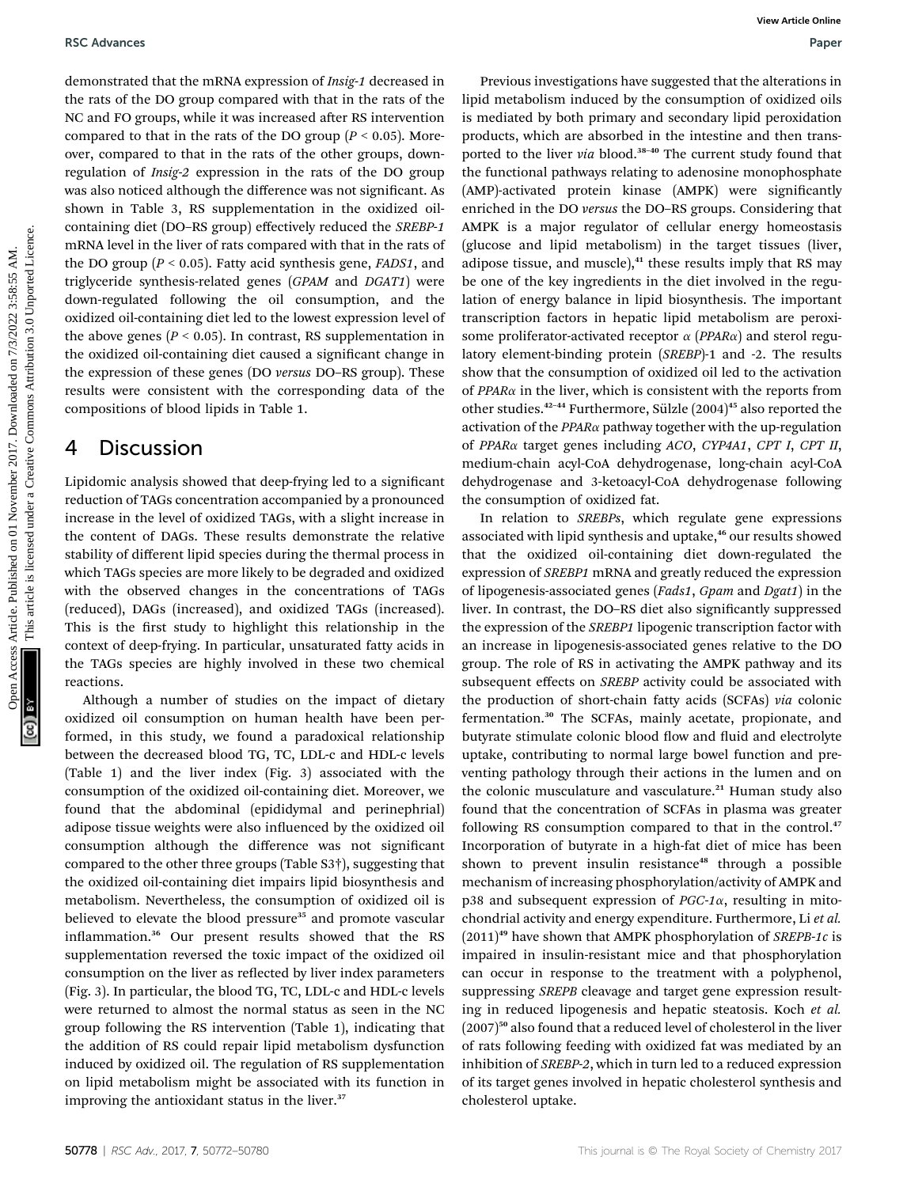demonstrated that the mRNA expression of Insig-1 decreased in the rats of the DO group compared with that in the rats of the NC and FO groups, while it was increased after RS intervention compared to that in the rats of the DO group ( $P < 0.05$ ). Moreover, compared to that in the rats of the other groups, downregulation of Insig-2 expression in the rats of the DO group was also noticed although the difference was not significant. As shown in Table 3, RS supplementation in the oxidized oilcontaining diet (DO–RS group) effectively reduced the SREBP-1 mRNA level in the liver of rats compared with that in the rats of the DO group ( $P < 0.05$ ). Fatty acid synthesis gene, *FADS1*, and triglyceride synthesis-related genes (GPAM and DGAT1) were down-regulated following the oil consumption, and the oxidized oil-containing diet led to the lowest expression level of the above genes ( $P < 0.05$ ). In contrast, RS supplementation in the oxidized oil-containing diet caused a signicant change in the expression of these genes (DO versus DO–RS group). These results were consistent with the corresponding data of the compositions of blood lipids in Table 1.

## 4 Discussion

Lipidomic analysis showed that deep-frying led to a signicant reduction of TAGs concentration accompanied by a pronounced increase in the level of oxidized TAGs, with a slight increase in the content of DAGs. These results demonstrate the relative stability of different lipid species during the thermal process in which TAGs species are more likely to be degraded and oxidized with the observed changes in the concentrations of TAGs (reduced), DAGs (increased), and oxidized TAGs (increased). This is the first study to highlight this relationship in the context of deep-frying. In particular, unsaturated fatty acids in the TAGs species are highly involved in these two chemical reactions.

Although a number of studies on the impact of dietary oxidized oil consumption on human health have been performed, in this study, we found a paradoxical relationship between the decreased blood TG, TC, LDL-c and HDL-c levels (Table 1) and the liver index (Fig. 3) associated with the consumption of the oxidized oil-containing diet. Moreover, we found that the abdominal (epididymal and perinephrial) adipose tissue weights were also influenced by the oxidized oil consumption although the difference was not signicant compared to the other three groups (Table S3†), suggesting that the oxidized oil-containing diet impairs lipid biosynthesis and metabolism. Nevertheless, the consumption of oxidized oil is believed to elevate the blood pressure<sup>35</sup> and promote vascular inflammation.<sup>36</sup> Our present results showed that the RS supplementation reversed the toxic impact of the oxidized oil consumption on the liver as reflected by liver index parameters (Fig. 3). In particular, the blood TG, TC, LDL-c and HDL-c levels were returned to almost the normal status as seen in the NC group following the RS intervention (Table 1), indicating that the addition of RS could repair lipid metabolism dysfunction induced by oxidized oil. The regulation of RS supplementation on lipid metabolism might be associated with its function in improving the antioxidant status in the liver.<sup>37</sup>

Previous investigations have suggested that the alterations in lipid metabolism induced by the consumption of oxidized oils is mediated by both primary and secondary lipid peroxidation products, which are absorbed in the intestine and then transported to the liver via blood.<sup>38-40</sup> The current study found that the functional pathways relating to adenosine monophosphate (AMP)-activated protein kinase (AMPK) were signicantly enriched in the DO versus the DO–RS groups. Considering that AMPK is a major regulator of cellular energy homeostasis (glucose and lipid metabolism) in the target tissues (liver, adipose tissue, and muscle),<sup>41</sup> these results imply that RS may be one of the key ingredients in the diet involved in the regulation of energy balance in lipid biosynthesis. The important transcription factors in hepatic lipid metabolism are peroxisome proliferator-activated receptor  $\alpha$  (PPAR $\alpha$ ) and sterol regulatory element-binding protein (SREBP)-1 and -2. The results show that the consumption of oxidized oil led to the activation of  $PPAR\alpha$  in the liver, which is consistent with the reports from other studies.<sup>42-44</sup> Furthermore, Sülzle (2004)<sup>45</sup> also reported the activation of the  $PPAR\alpha$  pathway together with the up-regulation of PPARa target genes including ACO, CYP4A1, CPT I, CPT II, medium-chain acyl-CoA dehydrogenase, long-chain acyl-CoA dehydrogenase and 3-ketoacyl-CoA dehydrogenase following the consumption of oxidized fat. BSC Advances<br>
Occurs are the published on distribution fraction in The line on the Euclidean Creative Common Columbiality (and the common Columbiality (and the common Columbiality (and the common Common Creative Common Cr

In relation to SREBPs, which regulate gene expressions associated with lipid synthesis and uptake,<sup>46</sup> our results showed that the oxidized oil-containing diet down-regulated the expression of SREBP1 mRNA and greatly reduced the expression of lipogenesis-associated genes (Fads1, Gpam and Dgat1) in the liver. In contrast, the DO–RS diet also signicantly suppressed the expression of the SREBP1 lipogenic transcription factor with an increase in lipogenesis-associated genes relative to the DO group. The role of RS in activating the AMPK pathway and its subsequent effects on SREBP activity could be associated with the production of short-chain fatty acids (SCFAs) via colonic fermentation.<sup>30</sup> The SCFAs, mainly acetate, propionate, and butyrate stimulate colonic blood flow and fluid and electrolyte uptake, contributing to normal large bowel function and preventing pathology through their actions in the lumen and on the colonic musculature and vasculature.<sup>21</sup> Human study also found that the concentration of SCFAs in plasma was greater following RS consumption compared to that in the control.<sup>47</sup> Incorporation of butyrate in a high-fat diet of mice has been shown to prevent insulin resistance<sup>48</sup> through a possible mechanism of increasing phosphorylation/activity of AMPK and p38 and subsequent expression of  $PGC-1\alpha$ , resulting in mitochondrial activity and energy expenditure. Furthermore, Li et al.  $(2011)^{49}$  have shown that AMPK phosphorylation of *SREPB-1c* is impaired in insulin-resistant mice and that phosphorylation can occur in response to the treatment with a polyphenol, suppressing SREPB cleavage and target gene expression resulting in reduced lipogenesis and hepatic steatosis. Koch et al.  $(2007)^{50}$  also found that a reduced level of cholesterol in the liver of rats following feeding with oxidized fat was mediated by an inhibition of SREBP-2, which in turn led to a reduced expression of its target genes involved in hepatic cholesterol synthesis and cholesterol uptake.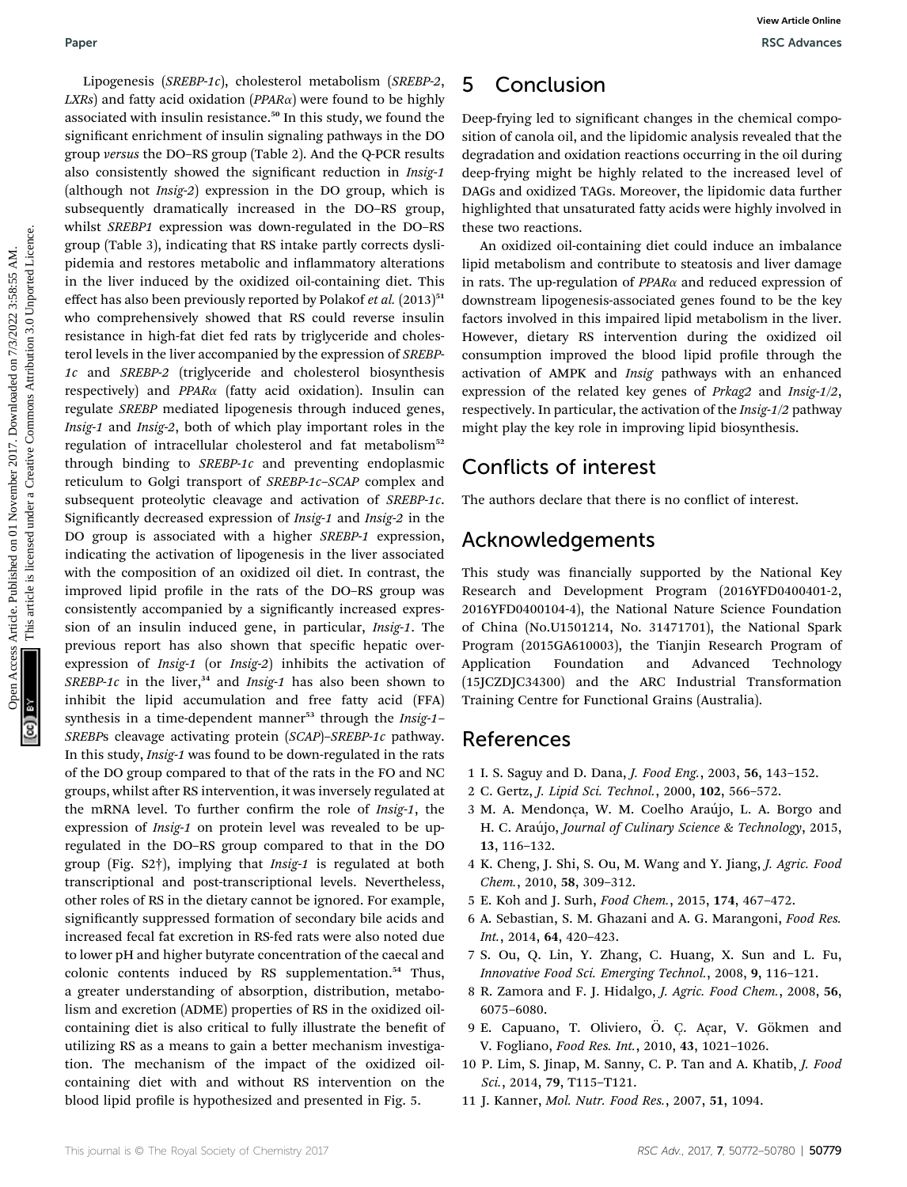Lipogenesis (SREBP-1c), cholesterol metabolism (SREBP-2,  $LXRS$ ) and fatty acid oxidation ( $PPAR\alpha$ ) were found to be highly associated with insulin resistance.<sup>50</sup> In this study, we found the significant enrichment of insulin signaling pathways in the DO group versus the DO–RS group (Table 2). And the Q-PCR results also consistently showed the significant reduction in Insig-1 (although not Insig-2) expression in the DO group, which is subsequently dramatically increased in the DO–RS group, whilst SREBP1 expression was down-regulated in the DO–RS group (Table 3), indicating that RS intake partly corrects dyslipidemia and restores metabolic and inflammatory alterations in the liver induced by the oxidized oil-containing diet. This effect has also been previously reported by Polakof et al.  $(2013)^{51}$ who comprehensively showed that RS could reverse insulin resistance in high-fat diet fed rats by triglyceride and cholesterol levels in the liver accompanied by the expression of SREBP-1c and SREBP-2 (triglyceride and cholesterol biosynthesis respectively) and  $PPAR\alpha$  (fatty acid oxidation). Insulin can regulate SREBP mediated lipogenesis through induced genes, Insig-1 and Insig-2, both of which play important roles in the regulation of intracellular cholesterol and fat metabolism<sup>52</sup> through binding to SREBP-1c and preventing endoplasmic reticulum to Golgi transport of SREBP-1c–SCAP complex and subsequent proteolytic cleavage and activation of SREBP-1c. Significantly decreased expression of Insig-1 and Insig-2 in the DO group is associated with a higher SREBP-1 expression, indicating the activation of lipogenesis in the liver associated with the composition of an oxidized oil diet. In contrast, the improved lipid profile in the rats of the DO-RS group was consistently accompanied by a significantly increased expression of an insulin induced gene, in particular, Insig-1. The previous report has also shown that specific hepatic overexpression of Insig-1 (or Insig-2) inhibits the activation of SREBP-1c in the liver, $34$  and Insig-1 has also been shown to inhibit the lipid accumulation and free fatty acid (FFA) synthesis in a time-dependent manner<sup>53</sup> through the *Insig-1*-SREBPs cleavage activating protein (SCAP)–SREBP-1c pathway. In this study, Insig-1 was found to be down-regulated in the rats of the DO group compared to that of the rats in the FO and NC groups, whilst after RS intervention, it was inversely regulated at the mRNA level. To further confirm the role of Insig-1, the expression of Insig-1 on protein level was revealed to be upregulated in the DO–RS group compared to that in the DO group (Fig. S2†), implying that Insig-1 is regulated at both transcriptional and post-transcriptional levels. Nevertheless, other roles of RS in the dietary cannot be ignored. For example, significantly suppressed formation of secondary bile acids and increased fecal fat excretion in RS-fed rats were also noted due to lower pH and higher butyrate concentration of the caecal and colonic contents induced by RS supplementation.<sup>54</sup> Thus, a greater understanding of absorption, distribution, metabolism and excretion (ADME) properties of RS in the oxidized oilcontaining diet is also critical to fully illustrate the benefit of utilizing RS as a means to gain a better mechanism investigation. The mechanism of the impact of the oxidized oilcontaining diet with and without RS intervention on the blood lipid profile is hypothesized and presented in Fig. 5. Paper Wavernesia (szezr-tr), cholestrod metabolism<sup>2</sup>. **5 Conclusion** Access Article 2017.<br>
On Case and the significant content in the DV significant description of a significant changes in the chomical comparison of the

# 5 Conclusion

Deep-frying led to significant changes in the chemical composition of canola oil, and the lipidomic analysis revealed that the degradation and oxidation reactions occurring in the oil during deep-frying might be highly related to the increased level of DAGs and oxidized TAGs. Moreover, the lipidomic data further highlighted that unsaturated fatty acids were highly involved in these two reactions.

An oxidized oil-containing diet could induce an imbalance lipid metabolism and contribute to steatosis and liver damage in rats. The up-regulation of  $PPAR\alpha$  and reduced expression of downstream lipogenesis-associated genes found to be the key factors involved in this impaired lipid metabolism in the liver. However, dietary RS intervention during the oxidized oil consumption improved the blood lipid profile through the activation of AMPK and Insig pathways with an enhanced expression of the related key genes of Prkag2 and Insig-1/2, respectively. In particular, the activation of the Insig-1/2 pathway might play the key role in improving lipid biosynthesis.

# Conflicts of interest

The authors declare that there is no conflict of interest.

# Acknowledgements

This study was financially supported by the National Key Research and Development Program (2016YFD0400401-2, 2016YFD0400104-4), the National Nature Science Foundation of China (No.U1501214, No. 31471701), the National Spark Program (2015GA610003), the Tianjin Research Program of Application Foundation and Advanced Technology (15JCZDJC34300) and the ARC Industrial Transformation Training Centre for Functional Grains (Australia).

# References

- 1 I. S. Saguy and D. Dana, J. Food Eng., 2003, 56, 143–152.
- 2 C. Gertz, J. Lipid Sci. Technol., 2000, 102, 566–572.
- 3 M. A. Mendonça, W. M. Coelho Araujo, L. A. Borgo and ´ H. C. Araújo, Journal of Culinary Science & Technology, 2015, 13, 116–132.
- 4 K. Cheng, J. Shi, S. Ou, M. Wang and Y. Jiang, J. Agric. Food Chem., 2010, 58, 309–312.
- 5 E. Koh and J. Surh, Food Chem., 2015, 174, 467–472.
- 6 A. Sebastian, S. M. Ghazani and A. G. Marangoni, Food Res. Int., 2014, 64, 420–423.
- 7 S. Ou, Q. Lin, Y. Zhang, C. Huang, X. Sun and L. Fu, Innovative Food Sci. Emerging Technol., 2008, 9, 116–121.
- 8 R. Zamora and F. J. Hidalgo, J. Agric. Food Chem., 2008, 56, 6075–6080.
- 9 E. Capuano, T. Oliviero, Ö. C. Açar, V. Gökmen and V. Fogliano, Food Res. Int., 2010, 43, 1021–1026.
- 10 P. Lim, S. Jinap, M. Sanny, C. P. Tan and A. Khatib, J. Food Sci., 2014, 79, T115–T121.
- 11 J. Kanner, Mol. Nutr. Food Res., 2007, 51, 1094.